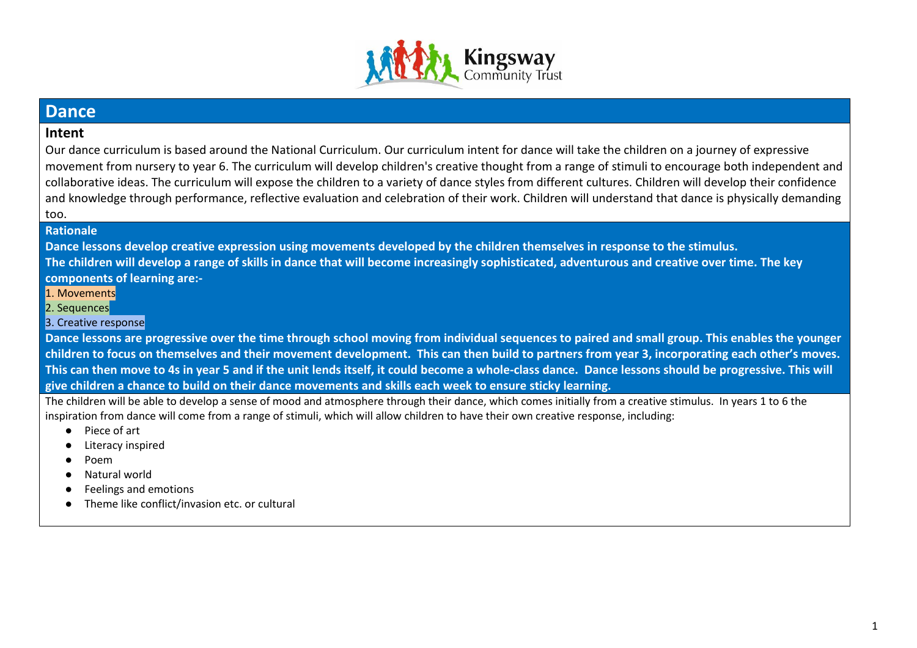

## **Dance**

### **Intent**

Our dance curriculum is based around the National Curriculum. Our curriculum intent for dance will take the children on a journey of expressive movement from nursery to year 6. The curriculum will develop children's creative thought from a range of stimuli to encourage both independent and collaborative ideas. The curriculum will expose the children to a variety of dance styles from different cultures. Children will develop their confidence and knowledge through performance, reflective evaluation and celebration of their work. Children will understand that dance is physically demanding too.

#### **Rationale**

**Dance lessons develop creative expression using movements developed by the children themselves in response to the stimulus.** 

**The children will develop a range of skills in dance that will become increasingly sophisticated, adventurous and creative over time. The key components of learning are:-**

1. Movements

2. Sequences

#### 3. Creative response

**Dance lessons are progressive over the time through school moving from individual sequences to paired and small group. This enables the younger children to focus on themselves and their movement development. This can then build to partners from year 3, incorporating each other's moves. This can then move to 4s in year 5 and if the unit lends itself, it could become a whole-class dance. Dance lessons should be progressive. This will give children a chance to build on their dance movements and skills each week to ensure sticky learning.**

The children will be able to develop a sense of mood and atmosphere through their dance, which comes initially from a creative stimulus. In years 1 to 6 the inspiration from dance will come from a range of stimuli, which will allow children to have their own creative response, including:

- Piece of art
- Literacy inspired
- Poem
- Natural world
- **Feelings and emotions**
- Theme like conflict/invasion etc. or cultural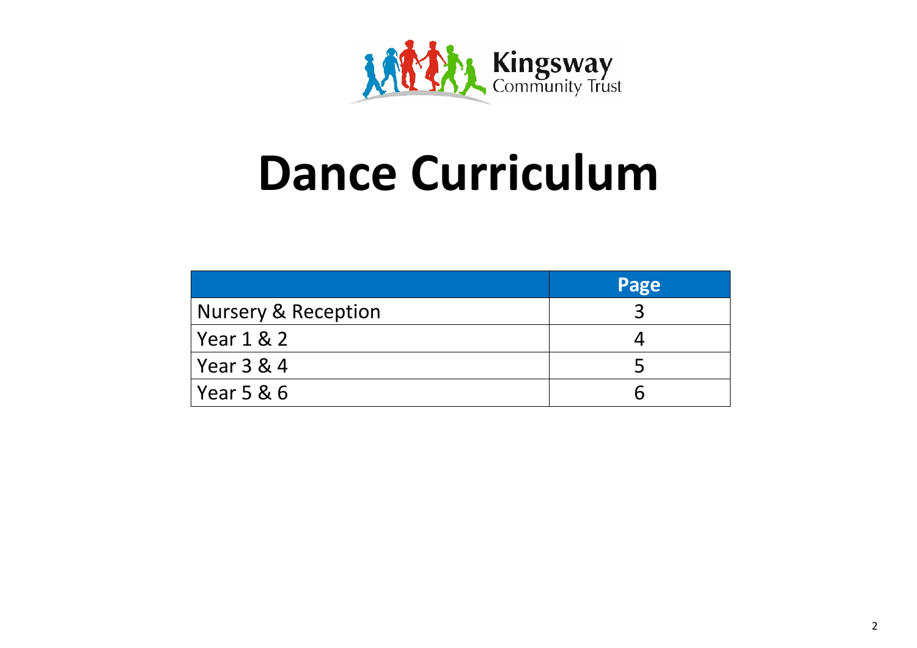

# **Dance Curriculum**

|                     | Page |
|---------------------|------|
| Nursery & Reception |      |
| Year 1 & 2          |      |
| Year 3 & 4          |      |
| Year 5 & 6          |      |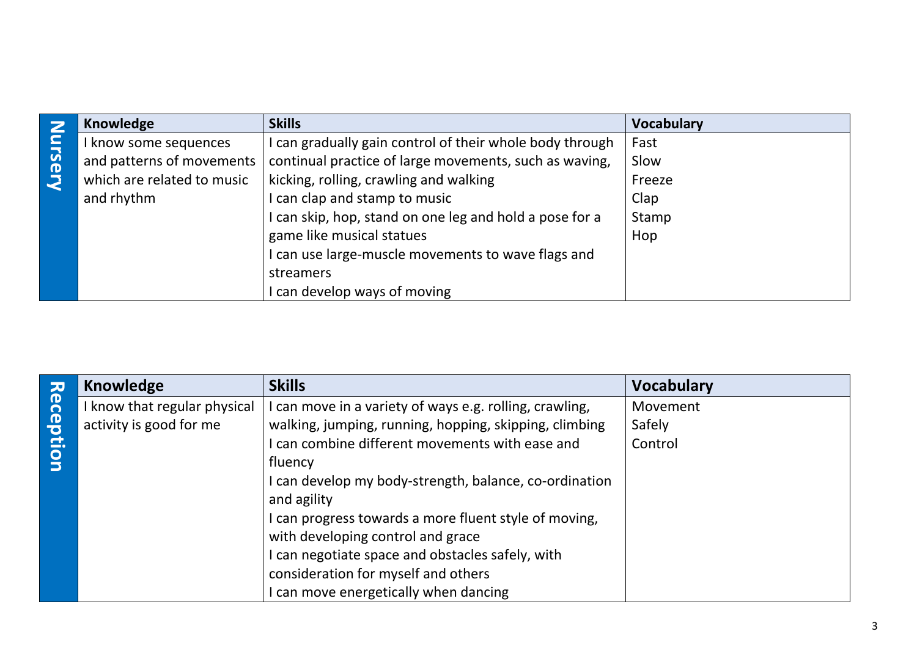|        | <b>Knowledge</b>           | <b>Skills</b>                                            | <b>Vocabulary</b> |
|--------|----------------------------|----------------------------------------------------------|-------------------|
|        | I know some sequences      | I can gradually gain control of their whole body through | Fast              |
| ursery | and patterns of movements  | continual practice of large movements, such as waving,   | Slow              |
|        | which are related to music | kicking, rolling, crawling and walking                   | Freeze            |
|        | and rhythm                 | I can clap and stamp to music                            | Clap              |
|        |                            | I can skip, hop, stand on one leg and hold a pose for a  | Stamp             |
|        |                            | game like musical statues                                | Hop               |
|        |                            | I can use large-muscle movements to wave flags and       |                   |
|        |                            | streamers                                                |                   |
|        |                            | can develop ways of moving                               |                   |

|           | <b>Knowledge</b>             | <b>Skills</b>                                          | <b>Vocabulary</b> |
|-----------|------------------------------|--------------------------------------------------------|-------------------|
| Reception | I know that regular physical | can move in a variety of ways e.g. rolling, crawling,  | Movement          |
|           | activity is good for me      | walking, jumping, running, hopping, skipping, climbing | Safely            |
|           |                              | can combine different movements with ease and          | Control           |
|           |                              | fluency                                                |                   |
|           |                              | I can develop my body-strength, balance, co-ordination |                   |
|           |                              | and agility                                            |                   |
|           |                              | can progress towards a more fluent style of moving,    |                   |
|           |                              | with developing control and grace                      |                   |
|           |                              | can negotiate space and obstacles safely, with         |                   |
|           |                              | consideration for myself and others                    |                   |
|           |                              | can move energetically when dancing                    |                   |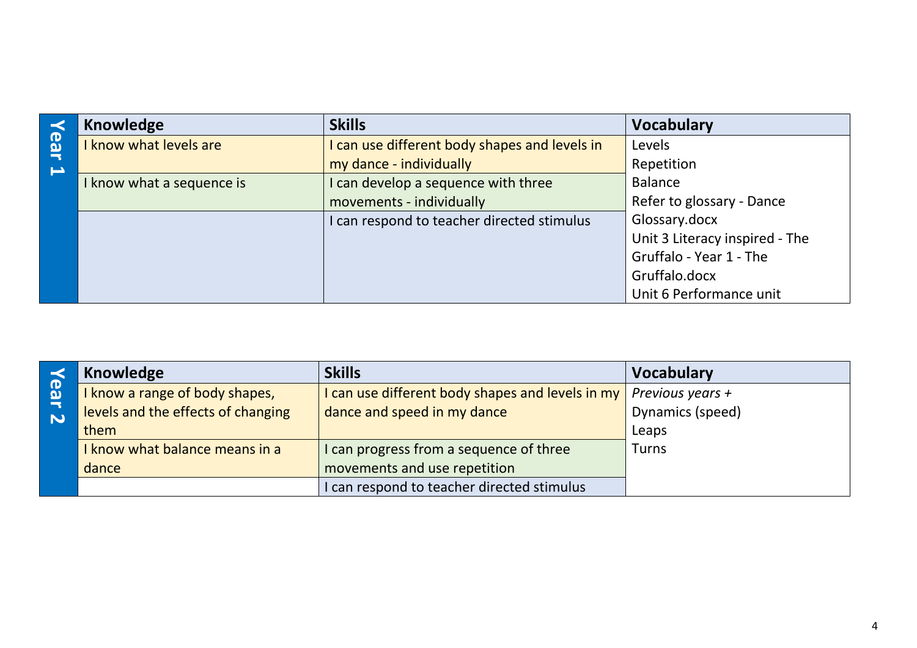|     | Knowledge                 | <b>Skills</b>                                 | <b>Vocabulary</b>              |
|-----|---------------------------|-----------------------------------------------|--------------------------------|
| ear | I know what levels are    | I can use different body shapes and levels in | Levels                         |
|     |                           | my dance - individually                       | Repetition                     |
|     | I know what a sequence is | can develop a sequence with three             | <b>Balance</b>                 |
|     |                           | movements - individually                      | Refer to glossary - Dance      |
|     |                           | I can respond to teacher directed stimulus    | Glossary.docx                  |
|     |                           |                                               | Unit 3 Literacy inspired - The |
|     |                           |                                               | Gruffalo - Year 1 - The        |
|     |                           |                                               | Gruffalo.docx                  |
|     |                           |                                               | Unit 6 Performance unit        |

|                        | Knowledge                          | <b>Skills</b>                                    | <b>Vocabulary</b> |
|------------------------|------------------------------------|--------------------------------------------------|-------------------|
| ወ<br>$\mathbf{\Omega}$ | I know a range of body shapes,     | I can use different body shapes and levels in my | Previous years +  |
| $\bf \overline{5}$     | levels and the effects of changing | dance and speed in my dance                      | Dynamics (speed)  |
|                        | them                               |                                                  | Leaps             |
|                        | I know what balance means in a     | I can progress from a sequence of three          | <b>Turns</b>      |
|                        | dance                              | movements and use repetition                     |                   |
|                        |                                    | I can respond to teacher directed stimulus       |                   |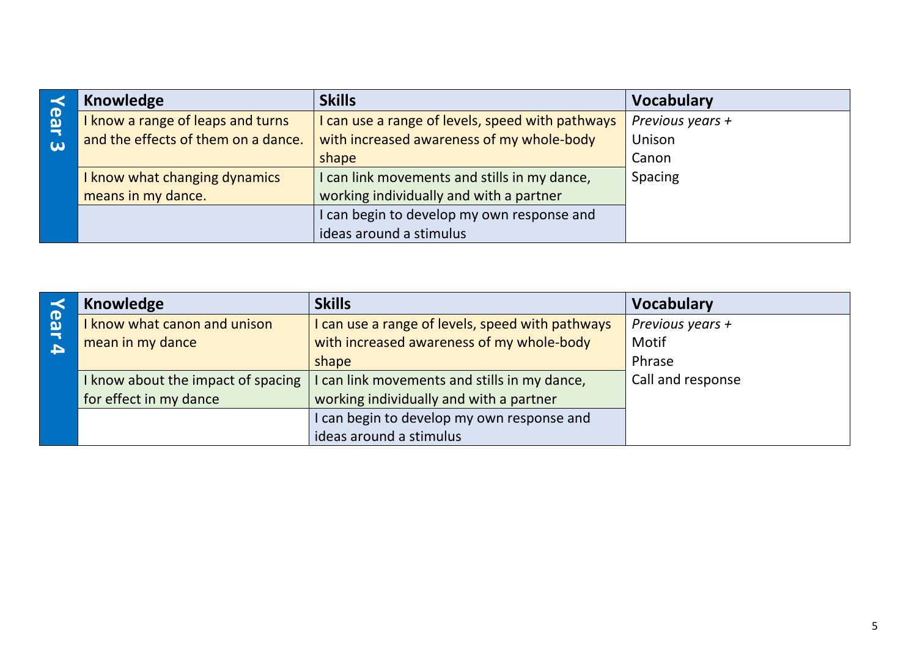|                                      | Knowledge                           | <b>Skills</b>                                  | <b>Vocabulary</b> |
|--------------------------------------|-------------------------------------|------------------------------------------------|-------------------|
| <b>B</b>                             | I know a range of leaps and turns   | can use a range of levels, speed with pathways | Previous years +  |
| $\overline{\phantom{a}}$<br>$\omega$ | and the effects of them on a dance. | with increased awareness of my whole-body      | Unison            |
|                                      |                                     | shape                                          | Canon             |
|                                      | I know what changing dynamics       | can link movements and stills in my dance,     | <b>Spacing</b>    |
|                                      | means in my dance.                  | working individually and with a partner        |                   |
|                                      |                                     | can begin to develop my own response and       |                   |
|                                      |                                     | ideas around a stimulus                        |                   |

|                                                     | Knowledge                        | <b>Skills</b>                                    | <b>Vocabulary</b> |
|-----------------------------------------------------|----------------------------------|--------------------------------------------------|-------------------|
| $\overline{\mathbf{e}}$<br>$\overline{\phantom{a}}$ | know what canon and unison       | I can use a range of levels, speed with pathways | Previous years +  |
| $\blacktriangle$                                    | mean in my dance                 | with increased awareness of my whole-body        | Motif             |
|                                                     |                                  | shape                                            | Phrase            |
|                                                     | know about the impact of spacing | I can link movements and stills in my dance,     | Call and response |
|                                                     | for effect in my dance           | working individually and with a partner          |                   |
|                                                     |                                  | I can begin to develop my own response and       |                   |
|                                                     |                                  | ideas around a stimulus                          |                   |